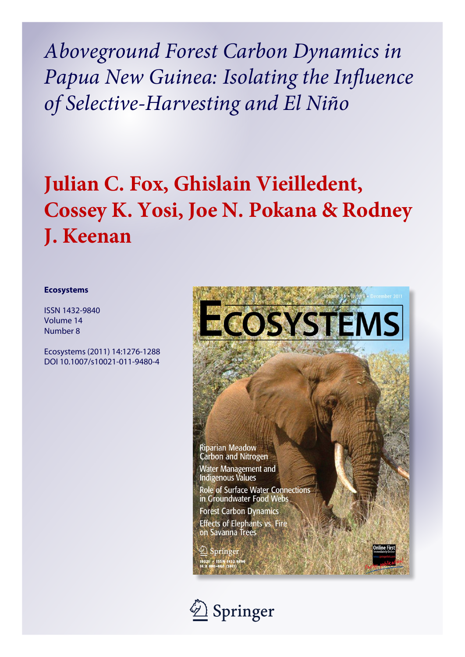Aboveground Forest Carbon Dynamics in Papua New Guinea: Isolating the Influence of Selective-Harvesting and El Niño

# Julian C. Fox, Ghislain Vieilledent, Cossey K. Yosi, Joe N. Pokana & Rodney J. Keenan

# **Ecosystems**

**ISSN 1432-9840** Volume 14 Number 8

Ecosystems (2011) 14:1276-1288 DOI 10.1007/s10021-011-9480-4



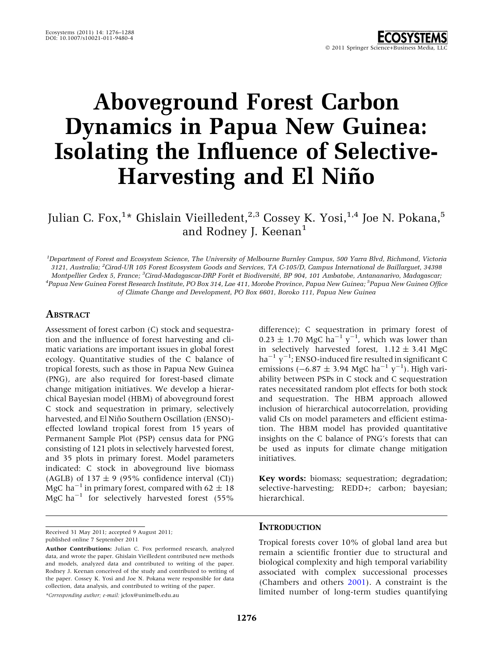# Aboveground Forest Carbon Dynamics in Papua New Guinea: Isolating the Influence of Selective-Harvesting and El Niño

Julian C. Fox, $^{1\star}$  Ghislain Vieilledent, $^{2,3}$  Cossey K. Yosi, $^{1,4}$  Joe N. Pokana, $^5$ and Rodney J. Keenan<sup>1</sup>

1 Department of Forest and Ecosystem Science, The University of Melbourne Burnley Campus, 500 Yarra Blvd, Richmond, Victoria 3121, Australia; <sup>2</sup> Cirad-UR 105 Forest Ecosystem Goods and Services, TA C-105/D, Campus International de Baillarguet, 34398 Montpellier Cedex 5, France; <sup>3</sup>Cirad-Madagascar-DRP Forêt et Biodiversité, BP 904, 101 Ambatobe, Antananarivo, Madagascar;<br><sup>4</sup>Panua Now Cuinea Ferest Besearch Institute, PO Box 314, Lae 411, Merche Province, Panua Now Cui Papua New Guinea Forest Research Institute, PO Box 314, Lae 411, Morobe Province, Papua New Guinea; <sup>5</sup> Papua New Guinea Office of Climate Change and Development, PO Box 6601, Boroko 111, Papua New Guinea

# **ABSTRACT**

Assessment of forest carbon (C) stock and sequestration and the influence of forest harvesting and climatic variations are important issues in global forest ecology. Quantitative studies of the C balance of tropical forests, such as those in Papua New Guinea (PNG), are also required for forest-based climate change mitigation initiatives. We develop a hierarchical Bayesian model (HBM) of aboveground forest C stock and sequestration in primary, selectively harvested, and El Niño Southern Oscillation (ENSO)effected lowland tropical forest from 15 years of Permanent Sample Plot (PSP) census data for PNG consisting of 121 plots in selectively harvested forest, and 35 plots in primary forest. Model parameters indicated: C stock in aboveground live biomass (AGLB) of  $137 \pm 9$  (95% confidence interval (CI)) MgC ha<sup>-1</sup> in primary forest, compared with 62  $\pm$  18  $MgC$  ha<sup>-1</sup> for selectively harvested forest (55%

Received 31 May 2011; accepted 9 August 2011; published online 7 September 2011

\*Corresponding author; e-mail: jcfox@unimelb.edu.au

difference); C sequestration in primary forest of  $0.23 \pm 1.70$  MgC ha<sup>-1</sup> y<sup>-1</sup>, which was lower than in selectively harvested forest,  $1.12 \pm 3.41$  MgC ha<sup>-1</sup>  $y^{-1}$ ; ENSO-induced fire resulted in significant C emissions ( $-6.87 \pm 3.94$  MgC ha<sup>-1</sup> y<sup>-1</sup>). High variability between PSPs in C stock and C sequestration rates necessitated random plot effects for both stock and sequestration. The HBM approach allowed inclusion of hierarchical autocorrelation, providing valid CIs on model parameters and efficient estimation. The HBM model has provided quantitative insights on the C balance of PNG's forests that can be used as inputs for climate change mitigation initiatives.

Key words: biomass; sequestration; degradation; selective-harvesting; REDD+; carbon; bayesian; hierarchical.

## **INTRODUCTION**

Tropical forests cover 10% of global land area but remain a scientific frontier due to structural and biological complexity and high temporal variability associated with complex successional processes (Chambers and others 2001). A constraint is the limited number of long-term studies quantifying

Author Contributions: Julian C. Fox performed research, analyzed data, and wrote the paper. Ghislain Vieilledent contributed new methods and models, analyzed data and contributed to writing of the paper. Rodney J. Keenan conceived of the study and contributed to writing of the paper. Cossey K. Yosi and Joe N. Pokana were responsible for data collection, data analysis, and contributed to writing of the paper.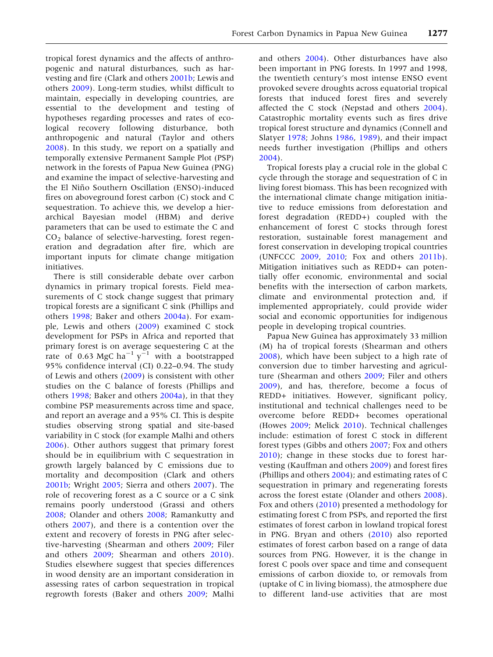tropical forest dynamics and the affects of anthropogenic and natural disturbances, such as harvesting and fire (Clark and others 2001b; Lewis and others 2009). Long-term studies, whilst difficult to maintain, especially in developing countries, are essential to the development and testing of hypotheses regarding processes and rates of ecological recovery following disturbance, both anthropogenic and natural (Taylor and others 2008). In this study, we report on a spatially and temporally extensive Permanent Sample Plot (PSP) network in the forests of Papua New Guinea (PNG) and examine the impact of selective-harvesting and the El Niño Southern Oscillation (ENSO)-induced fires on aboveground forest carbon (C) stock and C sequestration. To achieve this, we develop a hierarchical Bayesian model (HBM) and derive parameters that can be used to estimate the C and CO2 balance of selective-harvesting, forest regeneration and degradation after fire, which are important inputs for climate change mitigation initiatives.

There is still considerable debate over carbon dynamics in primary tropical forests. Field measurements of C stock change suggest that primary tropical forests are a significant C sink (Phillips and others 1998; Baker and others 2004a). For example, Lewis and others (2009) examined C stock development for PSPs in Africa and reported that primary forest is on average sequestering C at the rate of 0.63 MgC ha<sup>-1</sup> y<sup>-1</sup> with a bootstrapped 95% confidence interval (CI) 0.22–0.94. The study of Lewis and others (2009) is consistent with other studies on the C balance of forests (Phillips and others 1998; Baker and others 2004a), in that they combine PSP measurements across time and space, and report an average and a 95% CI. This is despite studies observing strong spatial and site-based variability in C stock (for example Malhi and others 2006). Other authors suggest that primary forest should be in equilibrium with C sequestration in growth largely balanced by C emissions due to mortality and decomposition (Clark and others 2001b; Wright 2005; Sierra and others 2007). The role of recovering forest as a C source or a C sink remains poorly understood (Grassi and others 2008; Olander and others 2008; Ramankutty and others 2007), and there is a contention over the extent and recovery of forests in PNG after selective-harvesting (Shearman and others 2009; Filer and others 2009; Shearman and others 2010). Studies elsewhere suggest that species differences in wood density are an important consideration in assessing rates of carbon sequestration in tropical regrowth forests (Baker and others 2009; Malhi

and others 2004). Other disturbances have also been important in PNG forests. In 1997 and 1998, the twentieth century's most intense ENSO event provoked severe droughts across equatorial tropical forests that induced forest fires and severely affected the C stock (Nepstad and others 2004). Catastrophic mortality events such as fires drive tropical forest structure and dynamics (Connell and Slatyer 1978; Johns 1986, 1989), and their impact needs further investigation (Phillips and others 2004).

Tropical forests play a crucial role in the global C cycle through the storage and sequestration of C in living forest biomass. This has been recognized with the international climate change mitigation initiative to reduce emissions from deforestation and forest degradation (REDD+) coupled with the enhancement of forest C stocks through forest restoration, sustainable forest management and forest conservation in developing tropical countries (UNFCCC 2009, 2010; Fox and others 2011b). Mitigation initiatives such as REDD+ can potentially offer economic, environmental and social benefits with the intersection of carbon markets, climate and environmental protection and, if implemented appropriately, could provide wider social and economic opportunities for indigenous people in developing tropical countries.

Papua New Guinea has approximately 33 million (M) ha of tropical forests (Shearman and others 2008), which have been subject to a high rate of conversion due to timber harvesting and agriculture (Shearman and others 2009; Filer and others 2009), and has, therefore, become a focus of REDD+ initiatives. However, significant policy, institutional and technical challenges need to be overcome before REDD+ becomes operational (Howes 2009; Melick 2010). Technical challenges include: estimation of forest C stock in different forest types (Gibbs and others 2007; Fox and others 2010); change in these stocks due to forest harvesting (Kauffman and others 2009) and forest fires (Phillips and others 2004); and estimating rates of C sequestration in primary and regenerating forests across the forest estate (Olander and others 2008). Fox and others (2010) presented a methodology for estimating forest C from PSPs, and reported the first estimates of forest carbon in lowland tropical forest in PNG. Bryan and others (2010) also reported estimates of forest carbon based on a range of data sources from PNG. However, it is the change in forest C pools over space and time and consequent emissions of carbon dioxide to, or removals from (uptake of C in living biomass), the atmosphere due to different land-use activities that are most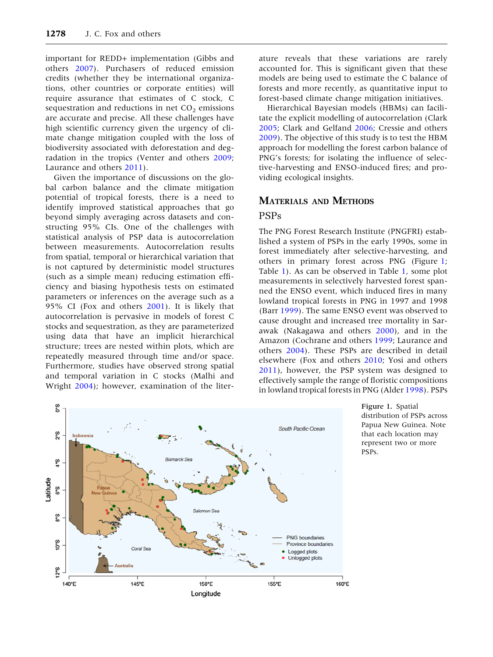important for REDD+ implementation (Gibbs and others 2007). Purchasers of reduced emission credits (whether they be international organizations, other countries or corporate entities) will require assurance that estimates of C stock, C sequestration and reductions in net  $CO<sub>2</sub>$  emissions are accurate and precise. All these challenges have high scientific currency given the urgency of climate change mitigation coupled with the loss of biodiversity associated with deforestation and degradation in the tropics (Venter and others 2009; Laurance and others 2011).

Given the importance of discussions on the global carbon balance and the climate mitigation potential of tropical forests, there is a need to identify improved statistical approaches that go beyond simply averaging across datasets and constructing 95% CIs. One of the challenges with statistical analysis of PSP data is autocorrelation between measurements. Autocorrelation results from spatial, temporal or hierarchical variation that is not captured by deterministic model structures (such as a simple mean) reducing estimation efficiency and biasing hypothesis tests on estimated parameters or inferences on the average such as a 95% CI (Fox and others 2001). It is likely that autocorrelation is pervasive in models of forest C stocks and sequestration, as they are parameterized using data that have an implicit hierarchical structure; trees are nested within plots, which are repeatedly measured through time and/or space. Furthermore, studies have observed strong spatial and temporal variation in C stocks (Malhi and Wright 2004); however, examination of the liter-

ature reveals that these variations are rarely accounted for. This is significant given that these models are being used to estimate the C balance of forests and more recently, as quantitative input to forest-based climate change mitigation initiatives.

Hierarchical Bayesian models (HBMs) can facilitate the explicit modelling of autocorrelation (Clark 2005; Clark and Gelfand 2006; Cressie and others 2009). The objective of this study is to test the HBM approach for modelling the forest carbon balance of PNG's forests; for isolating the influence of selective-harvesting and ENSO-induced fires; and providing ecological insights.

# MATERIALS AND METHODS

# PSPs

The PNG Forest Research Institute (PNGFRI) established a system of PSPs in the early 1990s, some in forest immediately after selective-harvesting, and others in primary forest across PNG (Figure 1; Table 1). As can be observed in Table 1, some plot measurements in selectively harvested forest spanned the ENSO event, which induced fires in many lowland tropical forests in PNG in 1997 and 1998 (Barr 1999). The same ENSO event was observed to cause drought and increased tree mortality in Sarawak (Nakagawa and others 2000), and in the Amazon (Cochrane and others 1999; Laurance and others 2004). These PSPs are described in detail elsewhere (Fox and others 2010; Yosi and others 2011), however, the PSP system was designed to effectively sample the range of floristic compositions in lowland tropical forests in PNG (Alder 1998). PSPs



Figure 1. Spatial distribution of PSPs across Papua New Guinea. Note that each location may represent two or more PSPs.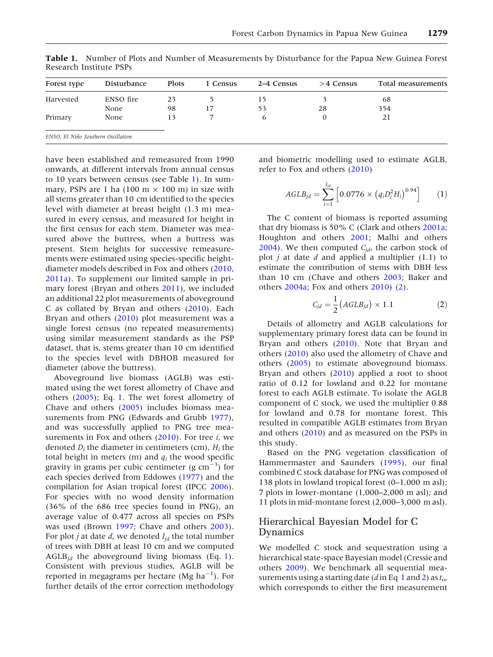| Forest type                         | Disturbance | <b>Plots</b> | 1 Census | 2–4 Census   | $>4$ Census | Total measurements |
|-------------------------------------|-------------|--------------|----------|--------------|-------------|--------------------|
| Harvested                           | ENSO fire   | 23           |          |              |             | 68                 |
|                                     | None        | 98           | 17       | 53           | 28          | 354                |
| Primary                             | None        | 13           |          | <sub>6</sub> |             | 21                 |
| ENSO, El Niño Southern Oscillation. |             |              |          |              |             |                    |

Table 1. Number of Plots and Number of Measurements by Disturbance for the Papua New Guinea Forest Research Institute PSPs

have been established and remeasured from 1990 onwards, at different intervals from annual census to 10 years between census (see Table 1). In summary, PSPs are 1 ha (100 m  $\times$  100 m) in size with all stems greater than 10 cm identified to the species level with diameter at breast height (1.3 m) measured in every census, and measured for height in the first census for each stem. Diameter was measured above the buttress, when a buttress was present. Stem heights for successive remeasurements were estimated using species-specific heightdiameter models described in Fox and others (2010, 2011a). To supplement our limited sample in primary forest (Bryan and others 2011), we included an additional 22 plot measurements of aboveground C as collated by Bryan and others (2010). Each Bryan and others (2010) plot measurement was a single forest census (no repeated measurements) using similar measurement standards as the PSP dataset, that is, stems greater than 10 cm identified to the species level with DBHOB measured for diameter (above the buttress).

Aboveground live biomass (AGLB) was estimated using the wet forest allometry of Chave and others (2005); Eq. 1. The wet forest allometry of Chave and others (2005) includes biomass measurements from PNG (Edwards and Grubb 1977), and was successfully applied to PNG tree measurements in Fox and others  $(2010)$ . For tree *i*, we denoted  $D_i$  the diameter in centimeters (cm),  $H_i$  the total height in meters (m) and  $q_i$  the wood specific gravity in grams per cubic centimeter (g  $cm^{-3}$ ) for each species derived from Eddowes (1977) and the compilation for Asian tropical forest (IPCC 2006). For species with no wood density information (36% of the 686 tree species found in PNG), an average value of 0.477 across all species on PSPs was used (Brown 1997; Chave and others 2003). For plot *j* at date *d*, we denoted  $I_{id}$  the total number of trees with DBH at least 10 cm and we computed AGLB<sub>jd</sub> the aboveground living biomass (Eq. 1). Consistent with previous studies, AGLB will be reported in megagrams per hectare (Mg ha<sup>-1</sup>). For further details of the error correction methodology

and biometric modelling used to estimate AGLB, refer to Fox and others (2010)

$$
AGLB_{jd} = \sum_{i=1}^{J_{jd}} \left[ 0.0776 \times \left( q_i D_i^2 H_i \right)^{0.94} \right] \tag{1}
$$

The C content of biomass is reported assuming that dry biomass is 50% C (Clark and others 2001a; Houghton and others 2001; Malhi and others 2004). We then computed  $C_{id}$ , the carbon stock of plot  $j$  at date  $d$  and applied a multiplier  $(1.1)$  to estimate the contribution of stems with DBH less than 10 cm (Chave and others 2003; Baker and others 2004a; Fox and others 2010) (2).

$$
C_{jd} = \frac{1}{2} \left( AGLB_{jd} \right) \times 1.1 \tag{2}
$$

Details of allometry and AGLB calculations for supplementary primary forest data can be found in Bryan and others (2010). Note that Bryan and others (2010) also used the allometry of Chave and others (2005) to estimate aboveground biomass. Bryan and others (2010) applied a root to shoot ratio of 0.12 for lowland and 0.22 for montane forest to each AGLB estimate. To isolate the AGLB component of C stock, we used the multiplier 0.88 for lowland and 0.78 for montane forest. This resulted in compatible AGLB estimates from Bryan and others (2010) and as measured on the PSPs in this study.

Based on the PNG vegetation classification of Hammermaster and Saunders (1995), our final combined C stock database for PNG was composed of 138 plots in lowland tropical forest (0–1,000 m asl); 7 plots in lower-montane (1,000–2,000 m asl); and 11 plots in mid-montane forest (2,000–3,000 m asl).

# Hierarchical Bayesian Model for C Dynamics

We modelled C stock and sequestration using a hierarchical state-space Bayesian model (Cressie and others 2009). We benchmark all sequential measurements using a starting date (d in Eq 1 and 2) as  $t_{\alpha}$ , which corresponds to either the first measurement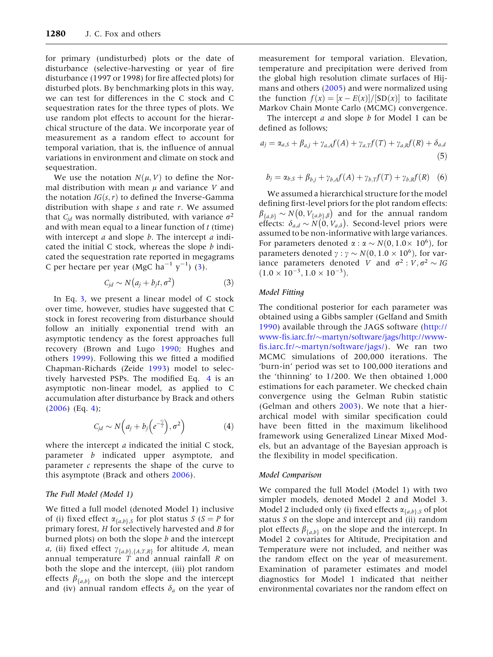for primary (undisturbed) plots or the date of disturbance (selective-harvesting or year of fire disturbance (1997 or 1998) for fire affected plots) for disturbed plots. By benchmarking plots in this way, we can test for differences in the C stock and C sequestration rates for the three types of plots. We use random plot effects to account for the hierarchical structure of the data. We incorporate year of measurement as a random effect to account for temporal variation, that is, the influence of annual variations in environment and climate on stock and sequestration.

We use the notation  $N(\mu, V)$  to define the Normal distribution with mean  $\mu$  and variance V and the notation  $IG(s, r)$  to defined the Inverse-Gamma distribution with shape  $s$  and rate  $r$ . We assumed that  $C_{id}$  was normally distributed, with variance  $\sigma^2$ and with mean equal to a linear function of  $t$  (time) with intercept  $a$  and slope  $b$ . The intercept  $a$  indicated the initial C stock, whereas the slope  $b$  indicated the sequestration rate reported in megagrams C per hectare per year (MgC ha<sup>-1</sup>  $y^{-1}$ ) (3).

$$
C_{jd} \sim N\big(a_j + b_j t, \sigma^2\big) \tag{3}
$$

In Eq. 3, we present a linear model of C stock over time, however, studies have suggested that C stock in forest recovering from disturbance should follow an initially exponential trend with an asymptotic tendency as the forest approaches full recovery (Brown and Lugo 1990; Hughes and others 1999). Following this we fitted a modified Chapman-Richards (Zeide 1993) model to selectively harvested PSPs. The modified Eq. 4 is an asymptotic non-linear model, as applied to C accumulation after disturbance by Brack and others (2006) (Eq. 4);

$$
C_{jd} \sim N\Big(a_j + b_j\Big(e^{-\frac{c_j}{l}}\Big), \sigma^2\Big) \tag{4}
$$

where the intercept *a* indicated the initial C stock, parameter b indicated upper asymptote, and parameter  $c$  represents the shape of the curve to this asymptote (Brack and others 2006).

## The Full Model (Model 1)

We fitted a full model (denoted Model 1) inclusive of (i) fixed effect  $\alpha_{\{a,b\},S}$  for plot status  $S(S = P$  for primary forest, H for selectively harvested and B for burned plots) on both the slope  $b$  and the intercept *a*, (ii) fixed effect  $\gamma_{\{a,b\},\{A,T,R\}}$  for altitude A, mean annual temperature  $\overline{T}$  and annual rainfall  $R$  on both the slope and the intercept, (iii) plot random effects  $\beta_{\{a,b\}}$  on both the slope and the intercept and (iv) annual random effects  $\delta_a$  on the year of measurement for temporal variation. Elevation, temperature and precipitation were derived from the global high resolution climate surfaces of Hijmans and others (2005) and were normalized using the function  $f(x) = \frac{x - E(x)}{S_D(x)}$  to facilitate Markov Chain Monte Carlo (MCMC) convergence.

The intercept  $a$  and slope  $b$  for Model 1 can be defined as follows;

$$
a_j = \alpha_{a,S} + \beta_{a,j} + \gamma_{a,A}f(A) + \gamma_{a,T}f(T) + \gamma_{a,R}f(R) + \delta_{a,d}
$$
\n(5)

$$
b_j = \alpha_{b,S} + \beta_{b,j} + \gamma_{b,A} f(A) + \gamma_{b,T} f(T) + \gamma_{b,R} f(R)
$$
 (6)

We assumed a hierarchical structure for the model defining first-level priors for the plot random effects:  $\beta_{\{a,b\}} \sim N(0, V_{\{a,b\},\beta})$  and for the annual random<br>offerts:  $\beta_{\{A,b\},\beta}$  and for the annual random  $P_{\{a,b\}} \to P_{\{x,b\},\beta}$  and for the annual random<br>effects:  $\delta_{a,d} \sim N(0, V_{a,\delta})$ . Second-level priors were assumed to be non-informative with large variances. For parameters denoted  $\alpha$  :  $\alpha \sim N(0, 1.0 \times 10^6)$ , for parameters denoted  $\gamma$  :  $\gamma \sim N(0, 1.0 \times 10^6)$ , for variance parameters denoted V and  $\sigma^2 : V, \sigma^2 \sim IG$  $(1.0 \times 10^{-3}, 1.0 \times 10^{-3}).$ 

## Model Fitting

The conditional posterior for each parameter was obtained using a Gibbs sampler (Gelfand and Smith 1990) available through the JAGS software (http:// www-fis.iarc.fr/~martyn/software/jags/http://wwwfis.iarc.fr/~martyn/software/jags/). We ran two MCMC simulations of 200,000 iterations. The 'burn-in' period was set to 100,000 iterations and the 'thinning' to 1/200. We then obtained 1,000 estimations for each parameter. We checked chain convergence using the Gelman Rubin statistic (Gelman and others 2003). We note that a hierarchical model with similar specification could have been fitted in the maximum likelihood framework using Generalized Linear Mixed Models, but an advantage of the Bayesian approach is the flexibility in model specification.

#### Model Comparison

We compared the full Model (Model 1) with two simpler models, denoted Model 2 and Model 3. Model 2 included only (i) fixed effects  $\alpha_{\{a,b\},S}$  of plot status S on the slope and intercept and (ii) random plot effects  $\beta_{\{a,b\}}$  on the slope and the intercept. In Model 2 covariates for Altitude, Precipitation and Temperature were not included, and neither was the random effect on the year of measurement. Examination of parameter estimates and model diagnostics for Model 1 indicated that neither environmental covariates nor the random effect on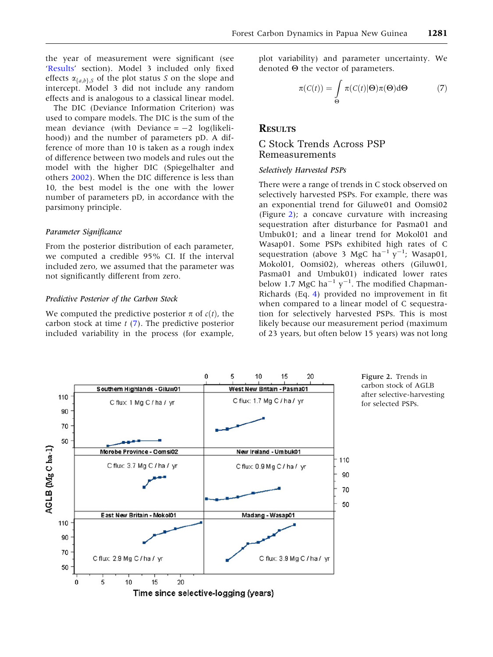the year of measurement were significant (see 'Results' section). Model 3 included only fixed effects  $\alpha_{\{a,b\},S}$  of the plot status S on the slope and intercept. Model 3 did not include any random effects and is analogous to a classical linear model.

The DIC (Deviance Information Criterion) was used to compare models. The DIC is the sum of the mean deviance (with Deviance  $=-2$  log(likelihood)) and the number of parameters pD. A difference of more than 10 is taken as a rough index of difference between two models and rules out the model with the higher DIC (Spiegelhalter and others 2002). When the DIC difference is less than 10, the best model is the one with the lower number of parameters pD, in accordance with the parsimony principle.

### Parameter Significance

From the posterior distribution of each parameter, we computed a credible 95% CI. If the interval included zero, we assumed that the parameter was not significantly different from zero.

#### Predictive Posterior of the Carbon Stock

We computed the predictive posterior  $\pi$  of  $c(t)$ , the carbon stock at time  $t$  (7). The predictive posterior included variability in the process (for example, plot variability) and parameter uncertainty. We denoted  $\Theta$  the vector of parameters.

$$
\pi(C(t)) = \int_{\Theta} \pi(C(t)|\Theta)\pi(\Theta)d\Theta \tag{7}
$$

# **RESULTS**

# C Stock Trends Across PSP Remeasurements

#### Selectively Harvested PSPs

There were a range of trends in C stock observed on selectively harvested PSPs. For example, there was an exponential trend for Giluwe01 and Oomsi02 (Figure 2); a concave curvature with increasing sequestration after disturbance for Pasma01 and Umbuk01; and a linear trend for Mokol01 and Wasap01. Some PSPs exhibited high rates of C sequestration (above 3 MgC ha<sup>-1</sup>  $y^{-1}$ ; Wasap01, Mokol01, Oomsi02), whereas others (Giluw01, Pasma01 and Umbuk01) indicated lower rates below 1.7 MgC ha<sup>-1</sup>  $y^{-1}$ . The modified Chapman-Richards (Eq. 4) provided no improvement in fit when compared to a linear model of C sequestration for selectively harvested PSPs. This is most likely because our measurement period (maximum of 23 years, but often below 15 years) was not long

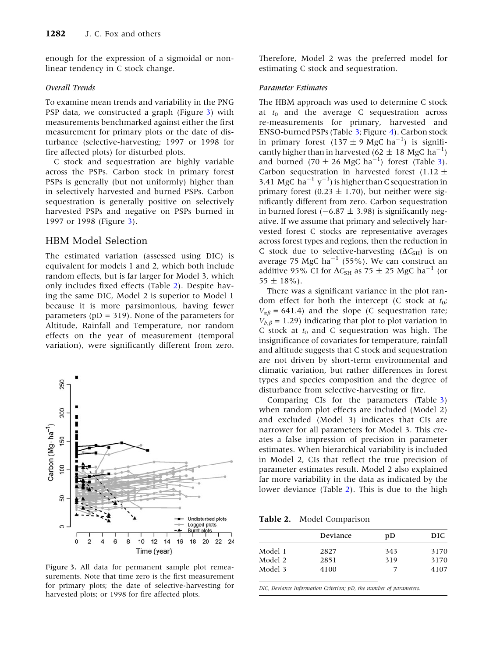enough for the expression of a sigmoidal or nonlinear tendency in C stock change.

### Overall Trends

To examine mean trends and variability in the PNG PSP data, we constructed a graph (Figure 3) with measurements benchmarked against either the first measurement for primary plots or the date of disturbance (selective-harvesting; 1997 or 1998 for fire affected plots) for disturbed plots.

C stock and sequestration are highly variable across the PSPs. Carbon stock in primary forest PSPs is generally (but not uniformly) higher than in selectively harvested and burned PSPs. Carbon sequestration is generally positive on selectively harvested PSPs and negative on PSPs burned in 1997 or 1998 (Figure 3).

# HBM Model Selection

The estimated variation (assessed using DIC) is equivalent for models 1 and 2, which both include random effects, but is far larger for Model 3, which only includes fixed effects (Table 2). Despite having the same DIC, Model 2 is superior to Model 1 because it is more parsimonious, having fewer parameters ( $pD = 319$ ). None of the parameters for Altitude, Rainfall and Temperature, nor random effects on the year of measurement (temporal variation), were significantly different from zero.



Figure 3. All data for permanent sample plot remeasurements. Note that time zero is the first measurement for primary plots; the date of selective-harvesting for harvested plots; or 1998 for fire affected plots.

Therefore, Model 2 was the preferred model for estimating C stock and sequestration.

## Parameter Estimates

The HBM approach was used to determine C stock at  $t_0$  and the average C sequestration across re-measurements for primary, harvested and ENSO-burned PSPs (Table 3; Figure 4). Carbon stock in primary forest  $(137 \pm 9 \text{ MgC ha}^{-1})$  is significantly higher than in harvested (62  $\pm$  18 MgC ha<sup>-1</sup>) and burned (70  $\pm$  26 MgC ha<sup>-1</sup>) forest (Table 3). Carbon sequestration in harvested forest (1.12  $\pm$ 3.41 MgC  $\hat{h}a^{-1}y^{-1}$ ) is higher than C sequestration in primary forest (0.23  $\pm$  1.70), but neither were significantly different from zero. Carbon sequestration in burned forest ( $-6.87 \pm 3.98$ ) is significantly negative. If we assume that primary and selectively harvested forest C stocks are representative averages across forest types and regions, then the reduction in C stock due to selective-harvesting  $(\Delta C_{\text{SH}})$  is on average 75 MgC  $ha^{-1}$  (55%). We can construct an additive 95% CI for  $\Delta C_{SH}$  as 75  $\pm$  25 MgC ha<sup>-1</sup> (or  $55 \pm 18\%$ ).

There was a significant variance in the plot random effect for both the intercept (C stock at  $t_0$ ;  $V_{\alpha\beta}$  = 641.4) and the slope (C sequestration rate;  $V_{b,\beta} = 1.29$ ) indicating that plot to plot variation in C stock at  $t_0$  and C sequestration was high. The insignificance of covariates for temperature, rainfall and altitude suggests that C stock and sequestration are not driven by short-term environmental and climatic variation, but rather differences in forest types and species composition and the degree of disturbance from selective-harvesting or fire.

Comparing CIs for the parameters (Table 3) when random plot effects are included (Model 2) and excluded (Model 3) indicates that CIs are narrower for all parameters for Model 3. This creates a false impression of precision in parameter estimates. When hierarchical variability is included in Model 2, CIs that reflect the true precision of parameter estimates result. Model 2 also explained far more variability in the data as indicated by the lower deviance (Table 2). This is due to the high

Table 2. Model Comparison

|         | Deviance | pD  | DIC  |
|---------|----------|-----|------|
| Model 1 | 2827     | 343 | 3170 |
| Model 2 | 2851     | 319 | 3170 |
| Model 3 | 4100     |     | 4107 |

DIC, Deviance Information Criterion; pD, the number of parameters.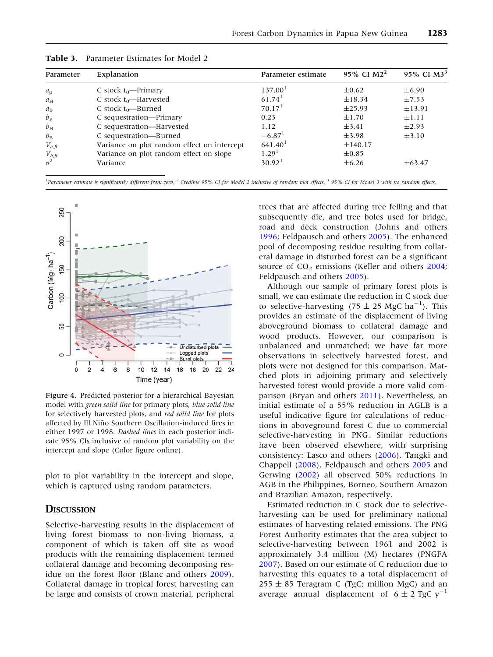| Parameter                                      | Explanation                                 | Parameter estimate   | 95% CI M2 <sup>2</sup> | 95% CI M3 <sup>3</sup> |  |
|------------------------------------------------|---------------------------------------------|----------------------|------------------------|------------------------|--|
| $a_{\rm p}$                                    | C stock $t_0$ —Primary                      | 137.00 <sup>1</sup>  | $\pm 0.62$             | $\pm 6.90$             |  |
| $a_{\rm H}$                                    | C stock $t_0$ —Harvested                    | $61.74$ <sup>1</sup> | $\pm$ 18.34            | $\pm 7.53$             |  |
| $a_{\rm B}$                                    | C stock $t_0$ —Burned                       | 70.17 <sup>1</sup>   | ±25.93                 | ±13.91                 |  |
| $b_{\rm P}$                                    | C sequestration—Primary                     | 0.23                 | $\pm 1.70$             | $\pm 1.11$             |  |
| $b_{\rm H}$                                    | C sequestration—Harvested                   | 1.12                 | $\pm 3.41$             | $\pm 2.93$             |  |
| $b_{\rm B}$                                    | C sequestration-Burned                      | $-6.87$ <sup>1</sup> | $\pm$ 3.98             | $\pm$ 3.10             |  |
| $V_{a,\beta}$                                  | Variance on plot random effect on intercept | 641.40 <sup>1</sup>  | ±140.17                |                        |  |
|                                                | Variance on plot random effect on slope     | 1.29 <sup>1</sup>    | $\pm 0.85$             |                        |  |
| $V_{b,\beta}$ <sub><math>\sigma^2</math></sub> | Variance                                    | $30.92^1$            | $\pm 6.26$             | $\pm 63.47$            |  |

Table 3. Parameter Estimates for Model 2

<sup>1</sup> Parameter estimate is significantly different from zero, <sup>2</sup> Credible 95% CI for Model 2 inclusive of random plot effects, <sup>3</sup> 95% CI for Model 3 with no random effects.



Figure 4. Predicted posterior for a hierarchical Bayesian model with green solid line for primary plots, blue solid line for selectively harvested plots, and red solid line for plots affected by El Niño Southern Oscillation-induced fires in either 1997 or 1998. Dashed lines in each posterior indicate 95% CIs inclusive of random plot variability on the intercept and slope (Color figure online).

plot to plot variability in the intercept and slope, which is captured using random parameters.

## **DISCUSSION**

Selective-harvesting results in the displacement of living forest biomass to non-living biomass, a component of which is taken off site as wood products with the remaining displacement termed collateral damage and becoming decomposing residue on the forest floor (Blanc and others 2009). Collateral damage in tropical forest harvesting can be large and consists of crown material, peripheral trees that are affected during tree felling and that subsequently die, and tree boles used for bridge, road and deck construction (Johns and others 1996; Feldpausch and others 2005). The enhanced pool of decomposing residue resulting from collateral damage in disturbed forest can be a significant source of  $CO<sub>2</sub>$  emissions (Keller and others 2004; Feldpausch and others 2005).

Although our sample of primary forest plots is small, we can estimate the reduction in C stock due to selective-harvesting (75  $\pm$  25 MgC ha<sup>-1</sup>). This provides an estimate of the displacement of living aboveground biomass to collateral damage and wood products. However, our comparison is unbalanced and unmatched; we have far more observations in selectively harvested forest, and plots were not designed for this comparison. Matched plots in adjoining primary and selectively harvested forest would provide a more valid comparison (Bryan and others 2011). Nevertheless, an initial estimate of a 55% reduction in AGLB is a useful indicative figure for calculations of reductions in aboveground forest C due to commercial selective-harvesting in PNG. Similar reductions have been observed elsewhere, with surprising consistency: Lasco and others (2006), Tangki and Chappell (2008), Feldpausch and others 2005 and Gerwing (2002) all observed 50% reductions in AGB in the Philippines, Borneo, Southern Amazon and Brazilian Amazon, respectively.

Estimated reduction in C stock due to selectiveharvesting can be used for preliminary national estimates of harvesting related emissions. The PNG Forest Authority estimates that the area subject to selective-harvesting between 1961 and 2002 is approximately 3.4 million (M) hectares (PNGFA 2007). Based on our estimate of C reduction due to harvesting this equates to a total displacement of  $255 \pm 85$  Teragram C (TgC; million MgC) and an average annual displacement of  $6 \pm 2$  TgC y<sup>-1</sup>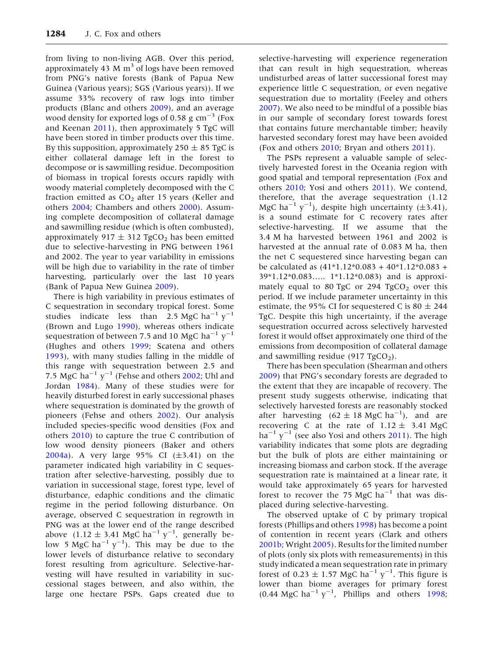from living to non-living AGB. Over this period, approximately 43 M  $m<sup>3</sup>$  of logs have been removed from PNG's native forests (Bank of Papua New Guinea (Various years); SGS (Various years)). If we assume 33% recovery of raw logs into timber products (Blanc and others 2009), and an average wood density for exported logs of 0.58 g  $\text{cm}^{-3}$  (Fox and Keenan 2011), then approximately 5 TgC will have been stored in timber products over this time. By this supposition, approximately  $250 \pm 85$  TgC is either collateral damage left in the forest to decompose or is sawmilling residue. Decomposition of biomass in tropical forests occurs rapidly with woody material completely decomposed with the C fraction emitted as  $CO<sub>2</sub>$  after 15 years (Keller and others 2004; Chambers and others 2000). Assuming complete decomposition of collateral damage and sawmilling residue (which is often combusted), approximately 917  $\pm$  312 TgCO<sub>2</sub> has been emitted due to selective-harvesting in PNG between 1961 and 2002. The year to year variability in emissions will be high due to variability in the rate of timber harvesting, particularly over the last 10 years (Bank of Papua New Guinea 2009).

There is high variability in previous estimates of C sequestration in secondary tropical forest. Some studies indicate less than 2.5 MgC ha<sup>-1</sup>  $y^{-1}$ (Brown and Lugo 1990), whereas others indicate sequestration of between 7.5 and 10 MgC ha<sup>-1</sup>  $y^{-1}$ (Hughes and others 1999; Scatena and others 1993), with many studies falling in the middle of this range with sequestration between 2.5 and 7.5 MgC ha<sup>-1</sup> y<sup>-1</sup> (Fehse and others 2002; Uhl and Jordan 1984). Many of these studies were for heavily disturbed forest in early successional phases where sequestration is dominated by the growth of pioneers (Fehse and others 2002). Our analysis included species-specific wood densities (Fox and others 2010) to capture the true C contribution of low wood density pioneers (Baker and others 2004a). A very large 95% CI  $(\pm 3.41)$  on the parameter indicated high variability in C sequestration after selective-harvesting, possibly due to variation in successional stage, forest type, level of disturbance, edaphic conditions and the climatic regime in the period following disturbance. On average, observed C sequestration in regrowth in PNG was at the lower end of the range described above  $(1.12 \pm 3.41 \text{ MgC ha}^{-1} \text{ y}^{-1}$ , generally below 5 MgC ha<sup>-1</sup>  $y^{-1}$ ). This may be due to the lower levels of disturbance relative to secondary forest resulting from agriculture. Selective-harvesting will have resulted in variability in successional stages between, and also within, the large one hectare PSPs. Gaps created due to selective-harvesting will experience regeneration that can result in high sequestration, whereas undisturbed areas of latter successional forest may experience little C sequestration, or even negative sequestration due to mortality (Feeley and others 2007). We also need to be mindful of a possible bias in our sample of secondary forest towards forest that contains future merchantable timber; heavily harvested secondary forest may have been avoided (Fox and others 2010; Bryan and others 2011).

The PSPs represent a valuable sample of selectively harvested forest in the Oceania region with good spatial and temporal representation (Fox and others 2010; Yosi and others 2011). We contend, therefore, that the average sequestration (1.12 MgC ha<sup>-1</sup> y<sup>-1</sup>), despite high uncertainty ( $\pm$ 3.41), is a sound estimate for C recovery rates after selective-harvesting. If we assume that the 3.4 M ha harvested between 1961 and 2002 is harvested at the annual rate of 0.083 M ha, then the net C sequestered since harvesting began can be calculated as (41\*1.12\*0.083 + 40\*1.12\*0.083 + 39\*1.12\*0.083….. 1\*1.12\*0.083) and is approximately equal to 80 TgC or 294  $TgCO<sub>2</sub>$  over this period. If we include parameter uncertainty in this estimate, the 95% CI for sequestered C is 80  $\pm$  244 TgC. Despite this high uncertainty, if the average sequestration occurred across selectively harvested forest it would offset approximately one third of the emissions from decomposition of collateral damage and sawmilling residue (917 TgCO<sub>2</sub>).

There has been speculation (Shearman and others 2009) that PNG's secondary forests are degraded to the extent that they are incapable of recovery. The present study suggests otherwise, indicating that selectively harvested forests are reasonably stocked after harvesting  $(62 \pm 18 \text{ MgC ha}^{-1})$ , and are recovering C at the rate of  $1.12 \pm 3.41$  MgC  $ha^{-1}y^{-1}$  (see also Yosi and others 2011). The high variability indicates that some plots are degrading but the bulk of plots are either maintaining or increasing biomass and carbon stock. If the average sequestration rate is maintained at a linear rate, it would take approximately 65 years for harvested forest to recover the 75 MgC  $ha^{-1}$  that was displaced during selective-harvesting.

The observed uptake of C by primary tropical forests (Phillips and others 1998) has become a point of contention in recent years (Clark and others 2001b; Wright 2005). Results for the limited number of plots (only six plots with remeasurements) in this study indicated a mean sequestration rate in primary forest of 0.23  $\pm$  1.57 MgC ha<sup>-1</sup> y<sup>-1</sup>. This figure is lower than biome averages for primary forest  $(0.44 \text{ MgC} \text{ ha}^{-1} \text{ y}^{-1}$ , Phillips and others 1998;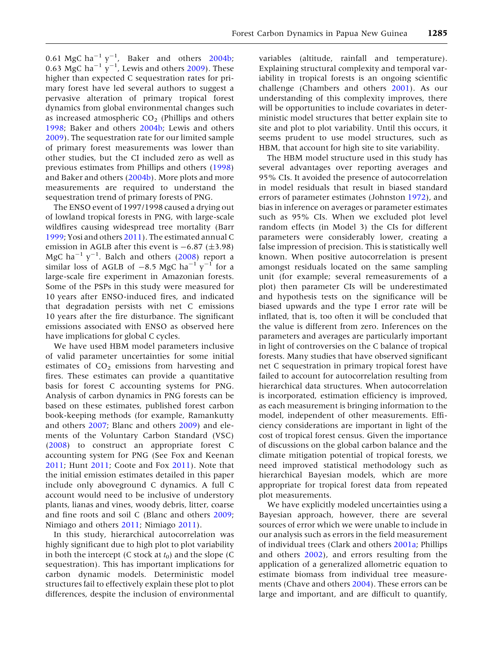0.61 MgC ha<sup>-1</sup>  $y^{-1}$ , Baker and others 2004b; 0.63 MgC ha<sup>-1</sup>  $\gamma$ <sup>-1</sup>, Lewis and others 2009). These higher than expected C sequestration rates for primary forest have led several authors to suggest a pervasive alteration of primary tropical forest dynamics from global environmental changes such as increased atmospheric  $CO<sub>2</sub>$  (Phillips and others 1998; Baker and others 2004b; Lewis and others 2009). The sequestration rate for our limited sample of primary forest measurements was lower than other studies, but the CI included zero as well as previous estimates from Phillips and others (1998) and Baker and others (2004b). More plots and more measurements are required to understand the sequestration trend of primary forests of PNG.

The ENSO event of 1997/1998 caused a drying out of lowland tropical forests in PNG, with large-scale wildfires causing widespread tree mortality (Barr 1999; Yosi and others 2011). The estimated annual C emission in AGLB after this event is  $-6.87$  ( $\pm$ 3.98) MgC ha $^{-1}$  y $^{-1}$ . Balch and others (2008) report a similar loss of AGLB of  $-8.5 \text{ MgC}$  ha<sup>-1</sup> y<sup>-1</sup> for a large-scale fire experiment in Amazonian forests. Some of the PSPs in this study were measured for 10 years after ENSO-induced fires, and indicated that degradation persists with net C emissions 10 years after the fire disturbance. The significant emissions associated with ENSO as observed here have implications for global C cycles.

We have used HBM model parameters inclusive of valid parameter uncertainties for some initial estimates of  $CO<sub>2</sub>$  emissions from harvesting and fires. These estimates can provide a quantitative basis for forest C accounting systems for PNG. Analysis of carbon dynamics in PNG forests can be based on these estimates, published forest carbon book-keeping methods (for example, Ramankutty and others 2007; Blanc and others 2009) and elements of the Voluntary Carbon Standard (VSC) (2008) to construct an appropriate forest C accounting system for PNG (See Fox and Keenan 2011; Hunt 2011; Coote and Fox 2011). Note that the initial emission estimates detailed in this paper include only aboveground C dynamics. A full C account would need to be inclusive of understory plants, lianas and vines, woody debris, litter, coarse and fine roots and soil C (Blanc and others 2009; Nimiago and others 2011; Nimiago 2011).

In this study, hierarchical autocorrelation was highly significant due to high plot to plot variability in both the intercept (C stock at  $t_0$ ) and the slope (C sequestration). This has important implications for carbon dynamic models. Deterministic model structures fail to effectively explain these plot to plot differences, despite the inclusion of environmental

variables (altitude, rainfall and temperature). Explaining structural complexity and temporal variability in tropical forests is an ongoing scientific challenge (Chambers and others 2001). As our understanding of this complexity improves, there will be opportunities to include covariates in deterministic model structures that better explain site to site and plot to plot variability. Until this occurs, it seems prudent to use model structures, such as HBM, that account for high site to site variability.

The HBM model structure used in this study has several advantages over reporting averages and 95% CIs. It avoided the presence of autocorrelation in model residuals that result in biased standard errors of parameter estimates (Johnston 1972), and bias in inference on averages or parameter estimates such as 95% CIs. When we excluded plot level random effects (in Model 3) the CIs for different parameters were considerably lower, creating a false impression of precision. This is statistically well known. When positive autocorrelation is present amongst residuals located on the same sampling unit (for example; several remeasurements of a plot) then parameter CIs will be underestimated and hypothesis tests on the significance will be biased upwards and the type I error rate will be inflated, that is, too often it will be concluded that the value is different from zero. Inferences on the parameters and averages are particularly important in light of controversies on the C balance of tropical forests. Many studies that have observed significant net C sequestration in primary tropical forest have failed to account for autocorrelation resulting from hierarchical data structures. When autocorrelation is incorporated, estimation efficiency is improved, as each measurement is bringing information to the model, independent of other measurements. Efficiency considerations are important in light of the cost of tropical forest census. Given the importance of discussions on the global carbon balance and the climate mitigation potential of tropical forests, we need improved statistical methodology such as hierarchical Bayesian models, which are more appropriate for tropical forest data from repeated plot measurements.

We have explicitly modeled uncertainties using a Bayesian approach, however, there are several sources of error which we were unable to include in our analysis such as errors in the field measurement of individual trees (Clark and others 2001a; Phillips and others 2002), and errors resulting from the application of a generalized allometric equation to estimate biomass from individual tree measurements (Chave and others 2004). These errors can be large and important, and are difficult to quantify,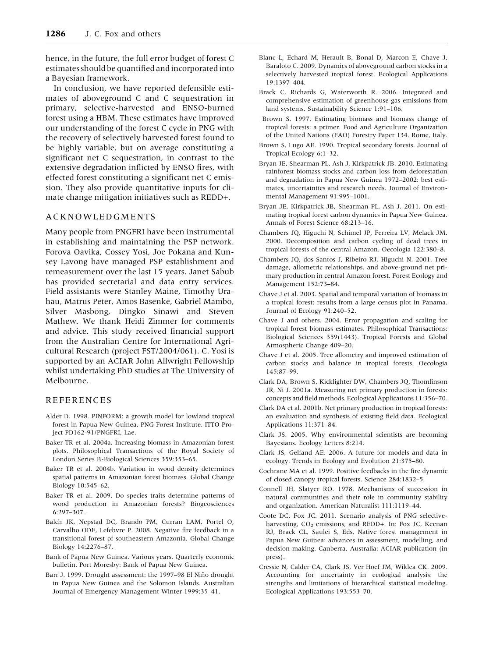hence, in the future, the full error budget of forest C estimates should be quantified and incorporated into a Bayesian framework.

In conclusion, we have reported defensible estimates of aboveground C and C sequestration in primary, selective-harvested and ENSO-burned forest using a HBM. These estimates have improved our understanding of the forest C cycle in PNG with the recovery of selectively harvested forest found to be highly variable, but on average constituting a significant net C sequestration, in contrast to the extensive degradation inflicted by ENSO fires, with effected forest constituting a significant net C emission. They also provide quantitative inputs for climate change mitigation initiatives such as REDD+.

## ACKNOWLEDGMENTS

Many people from PNGFRI have been instrumental in establishing and maintaining the PSP network. Forova Oavika, Cossey Yosi, Joe Pokana and Kunsey Lavong have managed PSP establishment and remeasurement over the last 15 years. Janet Sabub has provided secretarial and data entry services. Field assistants were Stanley Maine, Timothy Urahau, Matrus Peter, Amos Basenke, Gabriel Mambo, Silver Masbong, Dingko Sinawi and Steven Mathew. We thank Heidi Zimmer for comments and advice. This study received financial support from the Australian Centre for International Agricultural Research (project FST/2004/061). C. Yosi is supported by an ACIAR John Allwright Fellowship whilst undertaking PhD studies at The University of Melbourne.

## REFERENCES

- Alder D. 1998. PINFORM: a growth model for lowland tropical forest in Papua New Guinea. PNG Forest Institute. ITTO Project PD162-91/PNGFRI, Lae.
- Baker TR et al. 2004a. Increasing biomass in Amazonian forest plots. Philosophical Transactions of the Royal Society of London Series B-Biological Sciences 359:353–65.
- Baker TR et al. 2004b. Variation in wood density determines spatial patterns in Amazonian forest biomass. Global Change Biology 10:545–62.
- Baker TR et al. 2009. Do species traits determine patterns of wood production in Amazonian forests? Biogeosciences 6:297–307.
- Balch JK, Nepstad DC, Brando PM, Curran LAM, Portel O, Carvalho ODE, Lefebvre P. 2008. Negative fire feedback in a transitional forest of southeastern Amazonia. Global Change Biology 14:2276–87.
- Bank of Papua New Guinea. Various years. Quarterly economic bulletin. Port Moresby: Bank of Papua New Guinea.
- Barr J. 1999. Drought assessment: the 1997-98 El Niño drought in Papua New Guinea and the Solomon Islands. Australian Journal of Emergency Management Winter 1999:35–41.
- Blanc L, Echard M, Herault B, Bonal D, Marcon E, Chave J, Baraloto C. 2009. Dynamics of aboveground carbon stocks in a selectively harvested tropical forest. Ecological Applications 19:1397–404.
- Brack C, Richards G, Waterworth R. 2006. Integrated and comprehensive estimation of greenhouse gas emissions from land systems. Sustainability Science 1:91–106.
- Brown S. 1997. Estimating biomass and biomass change of tropical forests: a primer. Food and Agriculture Organization of the United Nations (FAO) Forestry Paper 134. Rome, Italy.
- Brown S, Lugo AE. 1990. Tropical secondary forests. Journal of Tropical Ecology 6:1–32.
- Bryan JE, Shearman PL, Ash J, Kirkpatrick JB. 2010. Estimating rainforest biomass stocks and carbon loss from deforestation and degradation in Papua New Guinea 1972–2002: best estimates, uncertainties and research needs. Journal of Environmental Management 91:995–1001.
- Bryan JE, Kirkpatrick JB, Shearman PL, Ash J. 2011. On estimating tropical forest carbon dynamics in Papua New Guinea. Annals of Forest Science 68:213–16.
- Chambers JQ, Higuchi N, Schimel JP, Ferreira LV, Melack JM. 2000. Decomposition and carbon cycling of dead trees in tropical forests of the central Amazon. Oecologia 122:380–8.
- Chambers JQ, dos Santos J, Ribeiro RJ, Higuchi N. 2001. Tree damage, allometric relationships, and above-ground net primary production in central Amazon forest. Forest Ecology and Management 152:73–84.
- Chave J et al. 2003. Spatial and temporal variation of biomass in a tropical forest: results from a large census plot in Panama. Journal of Ecology 91:240–52.
- Chave J and others. 2004. Error propagation and scaling for tropical forest biomass estimates. Philosophical Transactions: Biological Sciences 359(1443). Tropical Forests and Global Atmospheric Change 409–20.
- Chave J et al. 2005. Tree allometry and improved estimation of carbon stocks and balance in tropical forests. Oecologia 145:87–99.
- Clark DA, Brown S, Kicklighter DW, Chambers JQ, Thomlinson JR, Ni J. 2001a. Measuring net primary production in forests: concepts and field methods. Ecological Applications 11:356–70.
- Clark DA et al. 2001b. Net primary production in tropical forests: an evaluation and synthesis of existing field data. Ecological Applications 11:371–84.
- Clark JS. 2005. Why environmental scientists are becoming Bayesians. Ecology Letters 8:214.
- Clark JS, Gelfand AE. 2006. A future for models and data in ecology. Trends in Ecology and Evolution 21:375–80.
- Cochrane MA et al. 1999. Positive feedbacks in the fire dynamic of closed canopy tropical forests. Science 284:1832–5.
- Connell JH, Slatyer RO. 1978. Mechanisms of succession in natural communities and their role in community stability and organization. American Naturalist 111:1119–44.
- Coote DC, Fox JC. 2011. Scenario analysis of PNG selectiveharvesting, CO<sub>2</sub> emissions, and REDD+. In: Fox JC, Keenan RJ, Brack CL, Saulei S, Eds. Native forest management in Papua New Guinea: advances in assessment, modelling, and decision making. Canberra, Australia: ACIAR publication (in press).
- Cressie N, Calder CA, Clark JS, Ver Hoef JM, Wiklea CK. 2009. Accounting for uncertainty in ecological analysis: the strengths and limitations of hierarchical statistical modeling. Ecological Applications 193:553–70.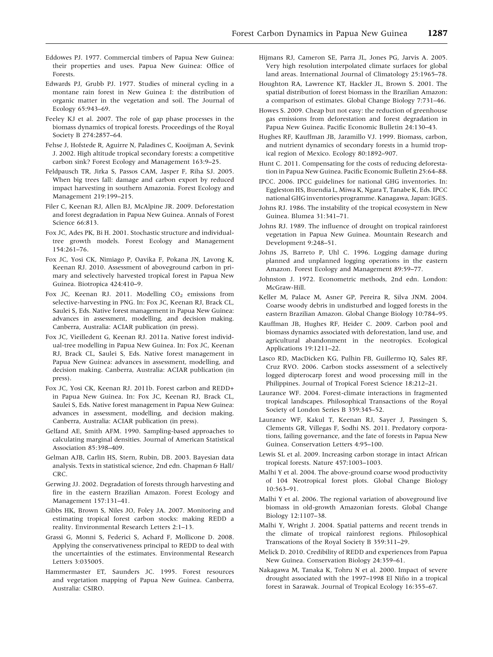- Eddowes PJ. 1977. Commercial timbers of Papua New Guinea: their properties and uses. Papua New Guinea: Office of Forests.
- Edwards PJ, Grubb PJ. 1977. Studies of mineral cycling in a montane rain forest in New Guinea I: the distribution of organic matter in the vegetation and soil. The Journal of Ecology 65:943–69.
- Feeley KJ et al. 2007. The role of gap phase processes in the biomass dynamics of tropical forests. Proceedings of the Royal Society B 274:2857–64.
- Fehse J, Hofstede R, Aguirre N, Paladines C, Kooijman A, Sevink J. 2002. High altitude tropical secondary forests: a competitive carbon sink? Forest Ecology and Management 163:9–25.
- Feldpausch TR, Jirka S, Passos CAM, Jasper F, Riha SJ. 2005. When big trees fall: damage and carbon export by reduced impact harvesting in southern Amazonia. Forest Ecology and Management 219:199–215.
- Filer C, Keenan RJ, Allen BJ, McAlpine JR. 2009. Deforestation and forest degradation in Papua New Guinea. Annals of Forest Science 66:813.
- Fox JC, Ades PK, Bi H. 2001. Stochastic structure and individualtree growth models. Forest Ecology and Management 154:261–76.
- Fox JC, Yosi CK, Nimiago P, Oavika F, Pokana JN, Lavong K, Keenan RJ. 2010. Assessment of aboveground carbon in primary and selectively harvested tropical forest in Papua New Guinea. Biotropica 424:410–9.
- Fox JC, Keenan RJ. 2011. Modelling  $CO<sub>2</sub>$  emissions from selective-harvesting in PNG. In: Fox JC, Keenan RJ, Brack CL, Saulei S, Eds. Native forest management in Papua New Guinea: advances in assessment, modelling, and decision making. Canberra, Australia: ACIAR publication (in press).
- Fox JC, Vieilledent G, Keenan RJ. 2011a. Native forest individual-tree modelling in Papua New Guinea. In: Fox JC, Keenan RJ, Brack CL, Saulei S, Eds. Native forest management in Papua New Guinea: advances in assessment, modelling, and decision making. Canberra, Australia: ACIAR publication (in press).
- Fox JC, Yosi CK, Keenan RJ. 2011b. Forest carbon and REDD+ in Papua New Guinea. In: Fox JC, Keenan RJ, Brack CL, Saulei S, Eds. Native forest management in Papua New Guinea: advances in assessment, modelling, and decision making. Canberra, Australia: ACIAR publication (in press).
- Gelfand AE, Smith AFM. 1990. Sampling-based approaches to calculating marginal densities. Journal of American Statistical Association 85:398–409.
- Gelman AJB, Carlin HS, Stern, Rubin, DB. 2003. Bayesian data analysis. Texts in statistical science, 2nd edn. Chapman & Hall/ CRC.
- Gerwing JJ. 2002. Degradation of forests through harvesting and fire in the eastern Brazilian Amazon. Forest Ecology and Management 157:131–41.
- Gibbs HK, Brown S, Niles JO, Foley JA. 2007. Monitoring and estimating tropical forest carbon stocks: making REDD a reality. Environmental Research Letters 2:1–13.
- Grassi G, Monni S, Federici S, Achard F, Mollicone D. 2008. Applying the conservativeness principal to REDD to deal with the uncertainties of the estimates. Environmental Research Letters 3:035005.
- Hammermaster ET, Saunders JC. 1995. Forest resources and vegetation mapping of Papua New Guinea. Canberra, Australia: CSIRO.
- Hijmans RJ, Cameron SE, Parra JL, Jones PG, Jarvis A. 2005. Very high resolution interpolated climate surfaces for global land areas. International Journal of Climatology 25:1965–78.
- Houghton RA, Lawrence KT, Hackler JL, Brown S. 2001. The spatial distribution of forest biomass in the Brazilian Amazon: a comparison of estimates. Global Change Biology 7:731–46.
- Howes S. 2009. Cheap but not easy: the reduction of greenhouse gas emissions from deforestation and forest degradation in Papua New Guinea. Pacific Economic Bulletin 24:130–43.
- Hughes RF, Kauffman JB, Jaramillo VJ. 1999. Biomass, carbon, and nutrient dynamics of secondary forests in a humid tropical region of Mexico. Ecology 80:1892–907.
- Hunt C. 2011. Compensating for the costs of reducing deforestation in Papua New Guinea. Pacific Economic Bulletin 25:64–88.
- IPCC. 2006. IPCC guidelines for national GHG inventories. In: Eggleston HS, Buendia L, Miwa K, Ngara T, Tanabe K, Eds. IPCC national GHG inventories programme. Kanagawa, Japan: IGES.
- Johns RJ. 1986. The instability of the tropical ecosystem in New Guinea. Blumea 31:341–71.
- Johns RJ. 1989. The influence of drought on tropical rainforest vegetation in Papua New Guinea. Mountain Research and Development 9:248–51.
- Johns JS, Barreto P, Uhl C. 1996. Logging damage during planned and unplanned logging operations in the eastern Amazon. Forest Ecology and Management 89:59–77.
- Johnston J. 1972. Econometric methods, 2nd edn. London: McGraw-Hill.
- Keller M, Palace M, Asner GP, Pereira R, Silva JNM. 2004. Coarse woody debris in undisturbed and logged forests in the eastern Brazilian Amazon. Global Change Biology 10:784–95.
- Kauffman JB, Hughes RF, Heider C. 2009. Carbon pool and biomass dynamics associated with deforestation, land use, and agricultural abandonment in the neotropics. Ecological Applications 19:1211–22.
- Lasco RD, MacDicken KG, Pulhin FB, Guillermo IQ, Sales RF, Cruz RVO. 2006. Carbon stocks assessment of a selectively logged dipterocarp forest and wood processing mill in the Philippines. Journal of Tropical Forest Science 18:212–21.
- Laurance WF. 2004. Forest-climate interactions in fragmented tropical landscapes. Philosophical Transactions of the Royal Society of London Series B 359:345–52.
- Laurance WF, Kakul T, Keenan RJ, Sayer J, Passingen S, Clements GR, Villegas F, Sodhi NS. 2011. Predatory corporations, failing governance, and the fate of forests in Papua New Guinea. Conservation Letters 4:95–100.
- Lewis SL et al. 2009. Increasing carbon storage in intact African tropical forests. Nature 457:1003–1003.
- Malhi Y et al. 2004. The above-ground coarse wood productivity of 104 Neotropical forest plots. Global Change Biology 10:563–91.
- Malhi Y et al. 2006. The regional variation of aboveground live biomass in old-growth Amazonian forests. Global Change Biology 12:1107–38.
- Malhi Y, Wright J. 2004. Spatial patterns and recent trends in the climate of tropical rainforest regions. Philosophical Transcations of the Royal Society B 359:311–29.
- Melick D. 2010. Credibility of REDD and experiences from Papua New Guinea. Conservation Biology 24:359–61.
- Nakagawa M, Tanaka K, Tohru N et al. 2000. Impact of severe drought associated with the 1997–1998 El Niño in a tropical forest in Sarawak. Journal of Tropical Ecology 16:355–67.